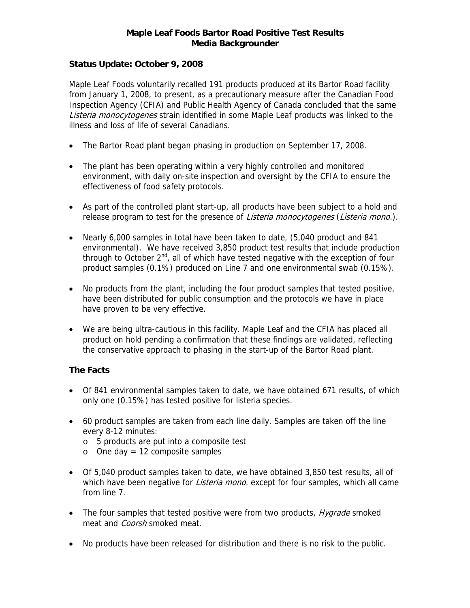#### **Maple Leaf Foods Bartor Road Positive Test Results Media Backgrounder**

### **Status Update: October 9, 2008**

Maple Leaf Foods voluntarily recalled 191 products produced at its Bartor Road facility from January 1, 2008, to present, as a precautionary measure after the Canadian Food Inspection Agency (CFIA) and Public Health Agency of Canada concluded that the same Listeria monocytogenes strain identified in some Maple Leaf products was linked to the illness and loss of life of several Canadians.

- The Bartor Road plant began phasing in production on September 17, 2008.
- The plant has been operating within a very highly controlled and monitored environment, with daily on-site inspection and oversight by the CFIA to ensure the effectiveness of food safety protocols.
- As part of the controlled plant start-up, all products have been subject to a hold and release program to test for the presence of *Listeria monocytogenes* (*Listeria mono.*).
- Nearly 6,000 samples in total have been taken to date, (5,040 product and 841 environmental). We have received 3,850 product test results that include production through to October  $2^{nd}$ , all of which have tested negative with the exception of four product samples (0.1%) produced on Line 7 and one environmental swab (0.15%).
- No products from the plant, including the four product samples that tested positive, have been distributed for public consumption and the protocols we have in place have proven to be very effective.
- We are being ultra-cautious in this facility. Maple Leaf and the CFIA has placed all product on hold pending a confirmation that these findings are validated, reflecting the conservative approach to phasing in the start-up of the Bartor Road plant.

## **The Facts**

- Of 841 environmental samples taken to date, we have obtained 671 results, of which only one (0.15%) has tested positive for listeria species.
- 60 product samples are taken from each line daily. Samples are taken off the line every 8-12 minutes:
	- o 5 products are put into a composite test
	- $\circ$  One day = 12 composite samples
- Of 5,040 product samples taken to date, we have obtained 3,850 test results, all of which have been negative for *Listeria mono*, except for four samples, which all came from line 7.
- The four samples that tested positive were from two products, *Hygrade* smoked meat and *Coorsh* smoked meat.
- No products have been released for distribution and there is no risk to the public.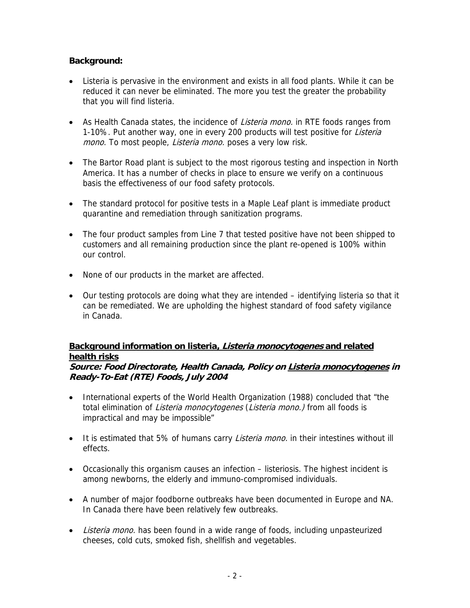## **Background:**

- Listeria is pervasive in the environment and exists in all food plants. While it can be reduced it can never be eliminated. The more you test the greater the probability that you will find listeria.
- As Health Canada states, the incidence of Listeria mono. in RTE foods ranges from 1-10%. Put another way, one in every 200 products will test positive for Listeria mono. To most people, Listeria mono. poses a very low risk.
- The Bartor Road plant is subject to the most rigorous testing and inspection in North America. It has a number of checks in place to ensure we verify on a continuous basis the effectiveness of our food safety protocols.
- The standard protocol for positive tests in a Maple Leaf plant is immediate product quarantine and remediation through sanitization programs.
- The four product samples from Line 7 that tested positive have not been shipped to customers and all remaining production since the plant re-opened is 100% within our control.
- None of our products in the market are affected.
- Our testing protocols are doing what they are intended identifying listeria so that it can be remediated. We are upholding the highest standard of food safety vigilance in Canada.

# **Background information on listeria, Listeria monocytogenes and related health risks**

#### **Source: Food Directorate, Health Canada, Policy on Listeria monocytogenes in Ready-To-Eat (RTE) Foods, July 2004**

- International experts of the World Health Organization (1988) concluded that "the total elimination of *Listeria monocytogenes* (*Listeria mono.*) from all foods is impractical and may be impossible"
- It is estimated that 5% of humans carry *Listeria mono*. in their intestines without ill effects.
- Occasionally this organism causes an infection listeriosis. The highest incident is among newborns, the elderly and immuno-compromised individuals.
- A number of major foodborne outbreaks have been documented in Europe and NA. In Canada there have been relatively few outbreaks.
- Listeria mono. has been found in a wide range of foods, including unpasteurized cheeses, cold cuts, smoked fish, shellfish and vegetables.